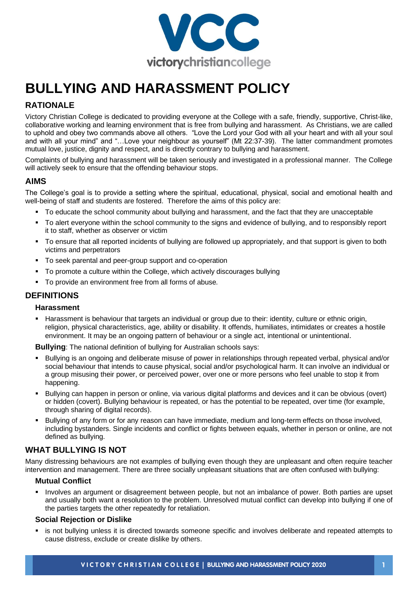

# **BULLYING AND HARASSMENT POLICY**

# **RATIONALE**

Victory Christian College is dedicated to providing everyone at the College with a safe, friendly, supportive, Christ-like, collaborative working and learning environment that is free from bullying and harassment. As Christians, we are called to uphold and obey two commands above all others. "Love the Lord your God with all your heart and with all your soul and with all your mind" and "…Love your neighbour as yourself" (Mt 22:37-39). The latter commandment promotes mutual love, justice, dignity and respect, and is directly contrary to bullying and harassment.

Complaints of bullying and harassment will be taken seriously and investigated in a professional manner. The College will actively seek to ensure that the offending behaviour stops.

## **AIMS**

The College's goal is to provide a setting where the spiritual, educational, physical, social and emotional health and well-being of staff and students are fostered. Therefore the aims of this policy are:

- To educate the school community about bullying and harassment, and the fact that they are unacceptable
- To alert everyone within the school community to the signs and evidence of bullying, and to responsibly report it to staff, whether as observer or victim
- To ensure that all reported incidents of bullying are followed up appropriately, and that support is given to both victims and perpetrators
- To seek parental and peer-group support and co-operation
- To promote a culture within the College, which actively discourages bullying
- To provide an environment free from all forms of abuse.

## **DEFINITIONS**

#### **Harassment**

Harassment is behaviour that targets an individual or group due to their: identity, culture or ethnic origin, religion, physical characteristics, age, ability or disability. It offends, humiliates, intimidates or creates a hostile environment. It may be an ongoing pattern of behaviour or a single act, intentional or unintentional.

**Bullying**: The national definition of bullying for Australian schools says:

- Bullying is an ongoing and deliberate misuse of power in relationships through repeated verbal, physical and/or social behaviour that intends to cause physical, social and/or psychological harm. It can involve an individual or a group misusing their power, or perceived power, over one or more persons who feel unable to stop it from happening.
- Bullying can happen in person or online, via various digital platforms and devices and it can be obvious (overt) or hidden (covert). Bullying behaviour is repeated, or has the potential to be repeated, over time (for example, through sharing of digital records).
- Bullying of any form or for any reason can have immediate, medium and long-term effects on those involved, including bystanders. Single incidents and conflict or fights between equals, whether in person or online, are not defined as bullying.

## **WHAT BULLYING IS NOT**

Many distressing behaviours are not examples of bullying even though they are unpleasant and often require teacher intervention and management. There are three socially unpleasant situations that are often confused with bullying:

#### **Mutual Conflict**

Involves an argument or disagreement between people, but not an imbalance of power. Both parties are upset and usually both want a resolution to the problem. Unresolved mutual conflict can develop into bullying if one of the parties targets the other repeatedly for retaliation.

#### **Social Rejection or Dislike**

■ is not bullying unless it is directed towards someone specific and involves deliberate and repeated attempts to cause distress, exclude or create dislike by others.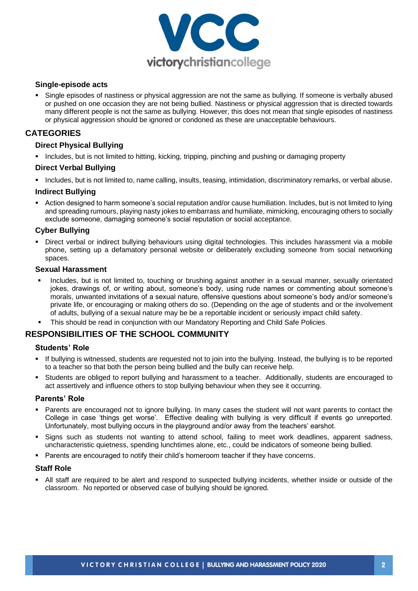

#### **Single-episode acts**

Single episodes of nastiness or physical aggression are not the same as bullying. If someone is verbally abused or pushed on one occasion they are not being bullied. Nastiness or physical aggression that is directed towards many different people is not the same as bullying. However, this does not mean that single episodes of nastiness or physical aggression should be ignored or condoned as these are unacceptable behaviours.

## **CATEGORIES**

#### **Direct Physical Bullying**

■ Includes, but is not limited to hitting, kicking, tripping, pinching and pushing or damaging property

#### **Direct Verbal Bullying**

▪ Includes, but is not limited to, name calling, insults, teasing, intimidation, discriminatory remarks, or verbal abuse.

#### **Indirect Bullying**

■ Action designed to harm someone's social reputation and/or cause humiliation. Includes, but is not limited to lying and spreading rumours, playing nasty jokes to embarrass and humiliate, mimicking, encouraging others to socially exclude someone, damaging someone's social reputation or social acceptance.

#### **Cyber Bullying**

▪ Direct verbal or indirect bullying behaviours using digital technologies. This includes harassment via a mobile phone, setting up a defamatory personal website or deliberately excluding someone from social networking spaces.

#### **Sexual Harassment**

- Includes, but is not limited to, touching or brushing against another in a sexual manner, sexually orientated jokes, drawings of, or writing about, someone's body, using rude names or commenting about someone's morals, unwanted invitations of a sexual nature, offensive questions about someone's body and/or someone's private life, or encouraging or making others do so. (Depending on the age of students and or the involvement of adults, bullying of a sexual nature may be be a reportable incident or seriously impact child safety.
- This should be read in conjunction with our Mandatory Reporting and Child Safe Policies.

## **RESPONSIBILITIES OF THE SCHOOL COMMUNITY**

#### **Students' Role**

- If bullying is witnessed, students are requested not to join into the bullying. Instead, the bullying is to be reported to a teacher so that both the person being bullied and the bully can receive help.
- Students are obliged to report bullying and harassment to a teacher. Additionally, students are encouraged to act assertively and influence others to stop bullying behaviour when they see it occurring.

#### **Parents' Role**

- Parents are encouraged not to ignore bullying. In many cases the student will not want parents to contact the College in case 'things get worse'. Effective dealing with bullying is very difficult if events go unreported. Unfortunately, most bullying occurs in the playground and/or away from the teachers' earshot.
- Signs such as students not wanting to attend school, failing to meet work deadlines, apparent sadness, uncharacteristic quietness, spending lunchtimes alone, etc., could be indicators of someone being bullied.
- Parents are encouraged to notify their child's homeroom teacher if they have concerns.

#### **Staff Role**

All staff are required to be alert and respond to suspected bullying incidents, whether inside or outside of the classroom. No reported or observed case of bullying should be ignored.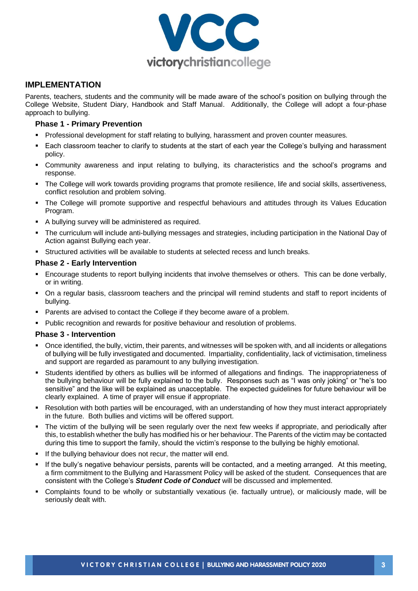

#### **IMPLEMENTATION**

Parents, teachers, students and the community will be made aware of the school's position on bullying through the College Website, Student Diary, Handbook and Staff Manual. Additionally, the College will adopt a four-phase approach to bullying.

#### **Phase 1 - Primary Prevention**

- Professional development for staff relating to bullying, harassment and proven counter measures.
- Each classroom teacher to clarify to students at the start of each year the College's bullying and harassment policy.
- Community awareness and input relating to bullying, its characteristics and the school's programs and response.
- The College will work towards providing programs that promote resilience, life and social skills, assertiveness, conflict resolution and problem solving.
- The College will promote supportive and respectful behaviours and attitudes through its Values Education Program.
- A bullying survey will be administered as required.
- The curriculum will include anti-bullying messages and strategies, including participation in the National Day of Action against Bullying each year.
- Structured activities will be available to students at selected recess and lunch breaks.

#### **Phase 2 - Early Intervention**

- Encourage students to report bullying incidents that involve themselves or others. This can be done verbally, or in writing.
- On a regular basis, classroom teachers and the principal will remind students and staff to report incidents of bullying.
- Parents are advised to contact the College if they become aware of a problem.
- Public recognition and rewards for positive behaviour and resolution of problems.

#### **Phase 3 - Intervention**

- Once identified, the bully, victim, their parents, and witnesses will be spoken with, and all incidents or allegations of bullying will be fully investigated and documented. Impartiality, confidentiality, lack of victimisation, timeliness and support are regarded as paramount to any bullying investigation.
- Students identified by others as bullies will be informed of allegations and findings. The inappropriateness of the bullying behaviour will be fully explained to the bully. Responses such as "I was only joking" or "he's too sensitive" and the like will be explained as unacceptable. The expected guidelines for future behaviour will be clearly explained. A time of prayer will ensue if appropriate.
- Resolution with both parties will be encouraged, with an understanding of how they must interact appropriately in the future. Both bullies and victims will be offered support.
- The victim of the bullying will be seen regularly over the next few weeks if appropriate, and periodically after this, to establish whether the bully has modified his or her behaviour. The Parents of the victim may be contacted during this time to support the family, should the victim's response to the bullying be highly emotional.
- If the bullying behaviour does not recur, the matter will end.
- If the bully's negative behaviour persists, parents will be contacted, and a meeting arranged. At this meeting, a firm commitment to the Bullying and Harassment Policy will be asked of the student. Consequences that are consistent with the College's *Student Code of Conduct* will be discussed and implemented.
- Complaints found to be wholly or substantially vexatious (ie. factually untrue), or maliciously made, will be seriously dealt with.